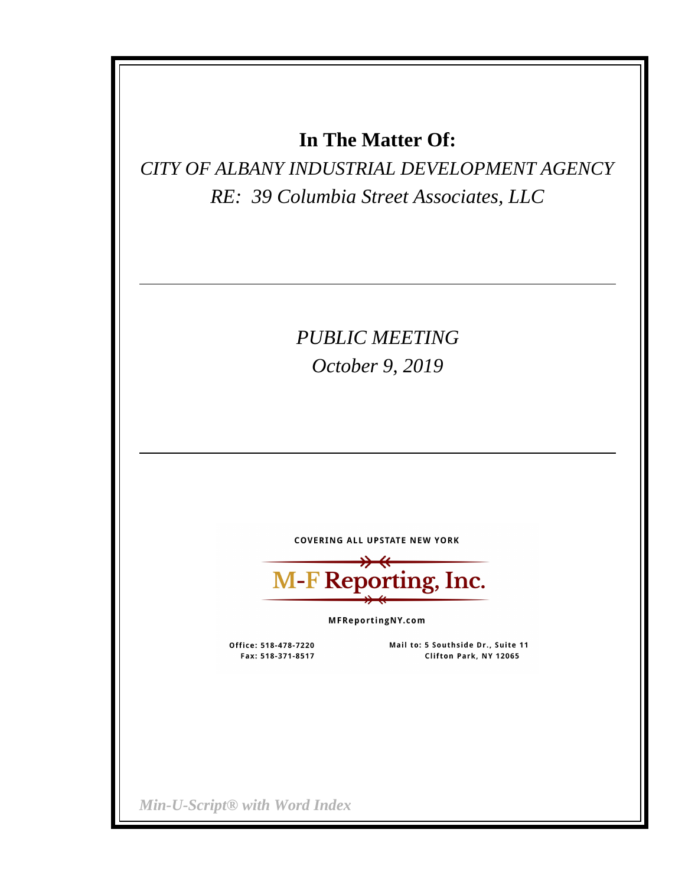## **In The Matter Of:**

*CITY OF ALBANY INDUSTRIAL DEVELOPMENT AGENCY RE: 39 Columbia Street Associates, LLC*

# *PUBLIC MEETING October 9, 2019*

**COVERING ALL UPSTATE NEW YORK** 

M-F Reporting, Inc.

MFReportingNY.com

Office: 518-478-7220 Fax: 518-371-8517

Mail to: 5 Southside Dr., Suite 11 Clifton Park, NY 12065

*Min-U-Script® with Word Index*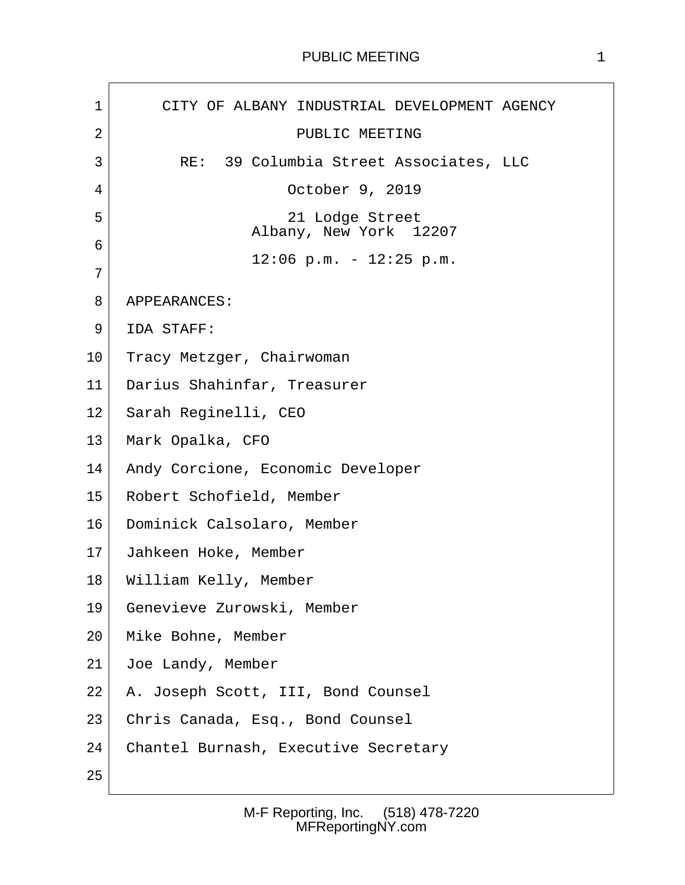### PUBLIC MEETING 1

 $\sqrt{ }$ 

| $\mathbf 1$ | CITY OF ALBANY INDUSTRIAL DEVELOPMENT AGENCY |
|-------------|----------------------------------------------|
| 2           | PUBLIC MEETING                               |
| 3           | RE: 39 Columbia Street Associates, LLC       |
| 4           | October 9, 2019                              |
| 5           | 21 Lodge Street<br>Albany, New York 12207    |
| 6           | $12:06$ p.m. - $12:25$ p.m.                  |
| 7           |                                              |
| 8           | APPEARANCES:                                 |
| 9           | IDA STAFF:                                   |
| 10          | Tracy Metzger, Chairwoman                    |
| 11          | Darius Shahinfar, Treasurer                  |
| 12          | Sarah Reginelli, CEO                         |
| 13          | Mark Opalka, CFO                             |
| 14          | Andy Corcione, Economic Developer            |
| 15          | Robert Schofield, Member                     |
| 16          | Dominick Calsolaro, Member                   |
| 17          | Jahkeen Hoke, Member                         |
| 18          | William Kelly, Member                        |
| 19          | Genevieve Zurowski, Member                   |
| 20          | Mike Bohne, Member                           |
| 21          | Joe Landy, Member                            |
| 22          | A. Joseph Scott, III, Bond Counsel           |
| 23          | Chris Canada, Esq., Bond Counsel             |
| 24          | Chantel Burnash, Executive Secretary         |
| 25          |                                              |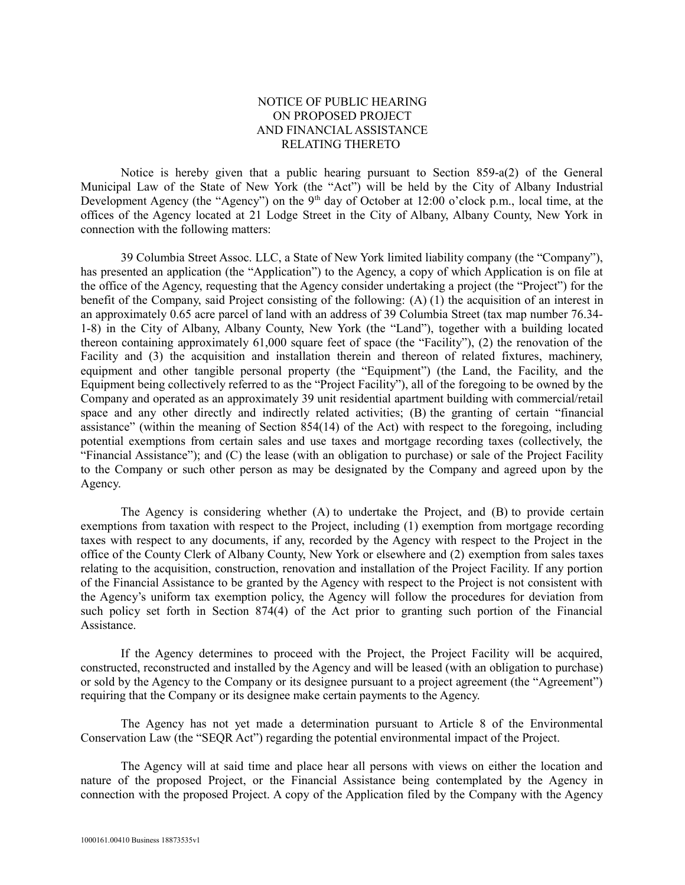### NOTICE OF PUBLIC HEARING ON PROPOSED PROJECT AND FINANCIAL ASSISTANCE RELATING THERETO

Notice is hereby given that a public hearing pursuant to Section  $859-a(2)$  of the General Municipal Law of the State of New York (the "Act") will be held by the City of Albany Industrial Development Agency (the "Agency") on the 9<sup>th</sup> day of October at 12:00 o'clock p.m., local time, at the offices of the Agency located at 21 Lodge Street in the City of Albany, Albany County, New York in connection with the following matters:

39 Columbia Street Assoc. LLC, a State of New York limited liability company (the "Company"), has presented an application (the "Application") to the Agency, a copy of which Application is on file at the office of the Agency, requesting that the Agency consider undertaking a project (the "Project") for the benefit of the Company, said Project consisting of the following: (A) (1) the acquisition of an interest in an approximately 0.65 acre parcel of land with an address of 39 Columbia Street (tax map number 76.34- 1-8) in the City of Albany, Albany County, New York (the "Land"), together with a building located thereon containing approximately 61,000 square feet of space (the "Facility"), (2) the renovation of the Facility and (3) the acquisition and installation therein and thereon of related fixtures, machinery, equipment and other tangible personal property (the "Equipment") (the Land, the Facility, and the Equipment being collectively referred to as the "Project Facility"), all of the foregoing to be owned by the Company and operated as an approximately 39 unit residential apartment building with commercial/retail space and any other directly and indirectly related activities; (B) the granting of certain "financial assistance" (within the meaning of Section 854(14) of the Act) with respect to the foregoing, including potential exemptions from certain sales and use taxes and mortgage recording taxes (collectively, the "Financial Assistance"); and (C) the lease (with an obligation to purchase) or sale of the Project Facility to the Company or such other person as may be designated by the Company and agreed upon by the Agency.

The Agency is considering whether (A) to undertake the Project, and (B) to provide certain exemptions from taxation with respect to the Project, including (1) exemption from mortgage recording taxes with respect to any documents, if any, recorded by the Agency with respect to the Project in the office of the County Clerk of Albany County, New York or elsewhere and (2) exemption from sales taxes relating to the acquisition, construction, renovation and installation of the Project Facility. If any portion of the Financial Assistance to be granted by the Agency with respect to the Project is not consistent with the Agency's uniform tax exemption policy, the Agency will follow the procedures for deviation from such policy set forth in Section 874(4) of the Act prior to granting such portion of the Financial Assistance.

If the Agency determines to proceed with the Project, the Project Facility will be acquired, constructed, reconstructed and installed by the Agency and will be leased (with an obligation to purchase) or sold by the Agency to the Company or its designee pursuant to a project agreement (the "Agreement") requiring that the Company or its designee make certain payments to the Agency.

The Agency has not yet made a determination pursuant to Article 8 of the Environmental Conservation Law (the "SEQR Act") regarding the potential environmental impact of the Project.

The Agency will at said time and place hear all persons with views on either the location and nature of the proposed Project, or the Financial Assistance being contemplated by the Agency in connection with the proposed Project. A copy of the Application filed by the Company with the Agency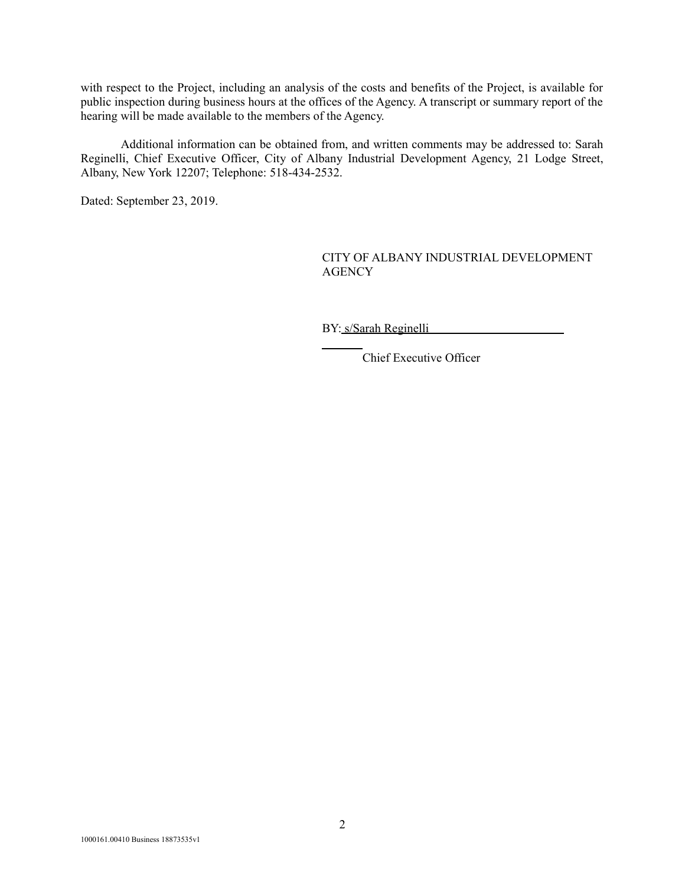with respect to the Project, including an analysis of the costs and benefits of the Project, is available for public inspection during business hours at the offices of the Agency. A transcript or summary report of the hearing will be made available to the members of the Agency.

Additional information can be obtained from, and written comments may be addressed to: Sarah Reginelli, Chief Executive Officer, City of Albany Industrial Development Agency, 21 Lodge Street, Albany, New York 12207; Telephone: 518-434-2532.

Dated: September 23, 2019.

### CITY OF ALBANY INDUSTRIAL DEVELOPMENT **AGENCY**

BY: s/Sarah Reginelli

Chief Executive Officer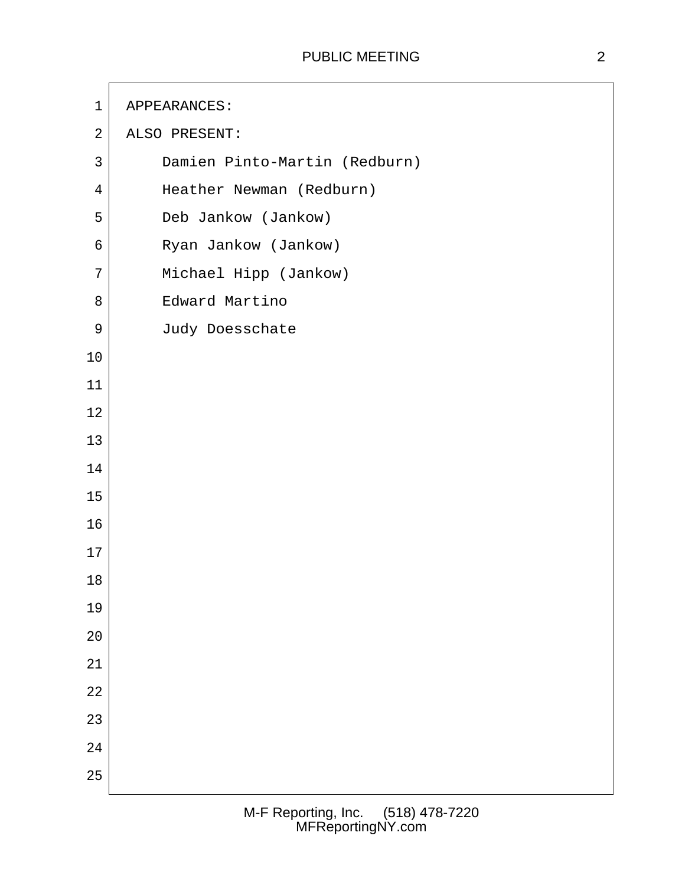| $\mathbf 1$    | APPEARANCES:                  |
|----------------|-------------------------------|
| $\sqrt{2}$     | ALSO PRESENT:                 |
| $\mathfrak{Z}$ | Damien Pinto-Martin (Redburn) |
| $\overline{4}$ | Heather Newman (Redburn)      |
| 5              | Deb Jankow (Jankow)           |
| 6              | Ryan Jankow (Jankow)          |
| 7              | Michael Hipp (Jankow)         |
| 8              | Edward Martino                |
| $\mathsf 9$    | Judy Doesschate               |
| 10             |                               |
| 11             |                               |
| 12             |                               |
| 13             |                               |
| 14             |                               |
| 15             |                               |
| 16             |                               |
| 17             |                               |
| 18             |                               |
| 19             |                               |
| $20$           |                               |
| 21             |                               |
| 22             |                               |
| 23             |                               |
| $2\sqrt{4}$    |                               |
| 25             |                               |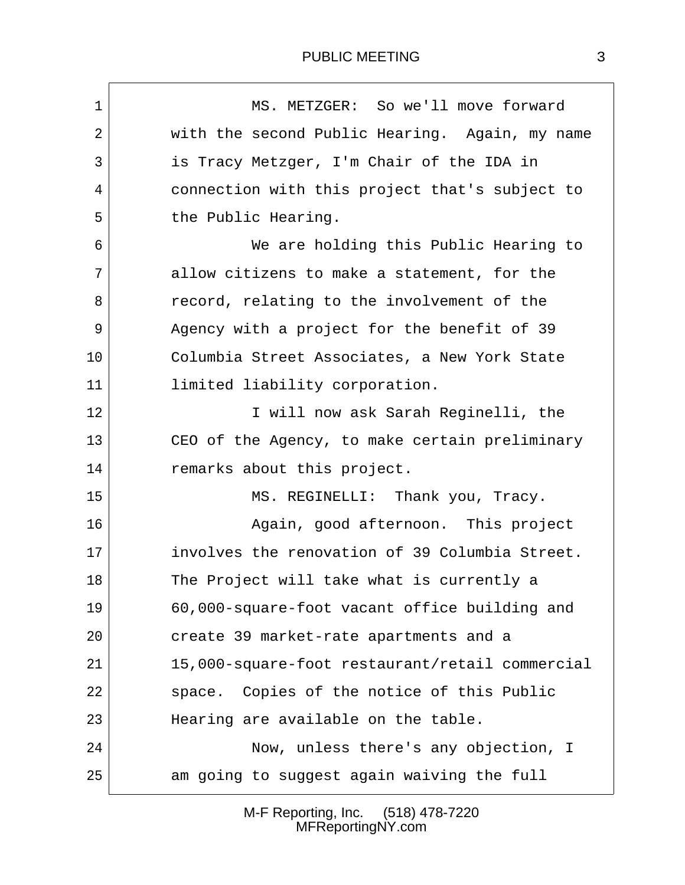| MS. METZGER: So we'll move forward              |
|-------------------------------------------------|
| with the second Public Hearing. Again, my name  |
| is Tracy Metzger, I'm Chair of the IDA in       |
| connection with this project that's subject to  |
| the Public Hearing.                             |
| We are holding this Public Hearing to           |
| allow citizens to make a statement, for the     |
| record, relating to the involvement of the      |
| Agency with a project for the benefit of 39     |
| Columbia Street Associates, a New York State    |
| limited liability corporation.                  |
| I will now ask Sarah Reginelli, the             |
| CEO of the Agency, to make certain preliminary  |
| remarks about this project.                     |
| MS. REGINELLI: Thank you, Tracy.                |
| Again, good afternoon. This project             |
| involves the renovation of 39 Columbia Street.  |
| The Project will take what is currently a       |
| 60,000-square-foot vacant office building and   |
| create 39 market-rate apartments and a          |
| 15,000-square-foot restaurant/retail commercial |
| Copies of the notice of this Public<br>space.   |
| Hearing are available on the table.             |
| Now, unless there's any objection, I            |
| am going to suggest again waiving the full      |
|                                                 |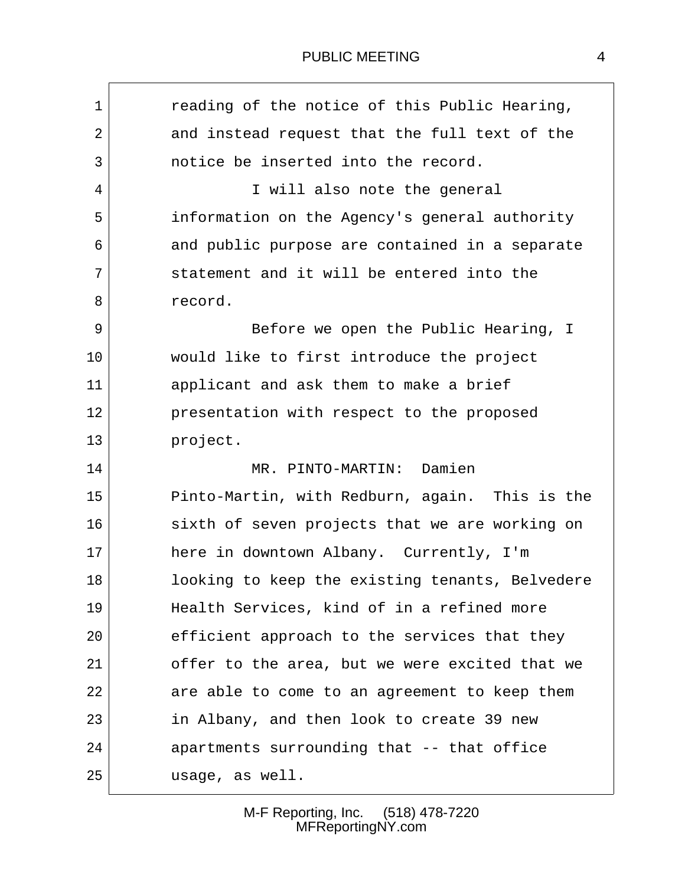### PUBLIC MEETING 4

| $\mathbf 1$ | reading of the notice of this Public Hearing,   |
|-------------|-------------------------------------------------|
| 2           | and instead request that the full text of the   |
| 3           | notice be inserted into the record.             |
| 4           | I will also note the general                    |
| 5           | information on the Agency's general authority   |
| 6           | and public purpose are contained in a separate  |
| 7           | statement and it will be entered into the       |
| 8           | record.                                         |
| 9           | Before we open the Public Hearing, I            |
| 10          | would like to first introduce the project       |
| 11          | applicant and ask them to make a brief          |
| 12          | presentation with respect to the proposed       |
| 13          | project.                                        |
| 14          | MR. PINTO-MARTIN: Damien                        |
| 15          | Pinto-Martin, with Redburn, again. This is the  |
| 16          | sixth of seven projects that we are working on  |
| 17          | here in downtown Albany. Currently, I'm         |
| 18          | looking to keep the existing tenants, Belvedere |
| 19          | Health Services, kind of in a refined more      |
| 20          | efficient approach to the services that they    |
| 21          | offer to the area, but we were excited that we  |
| 22          | are able to come to an agreement to keep them   |
| 23          | in Albany, and then look to create 39 new       |
| 24          | apartments surrounding that -- that office      |
| 25          | usage, as well.                                 |
|             |                                                 |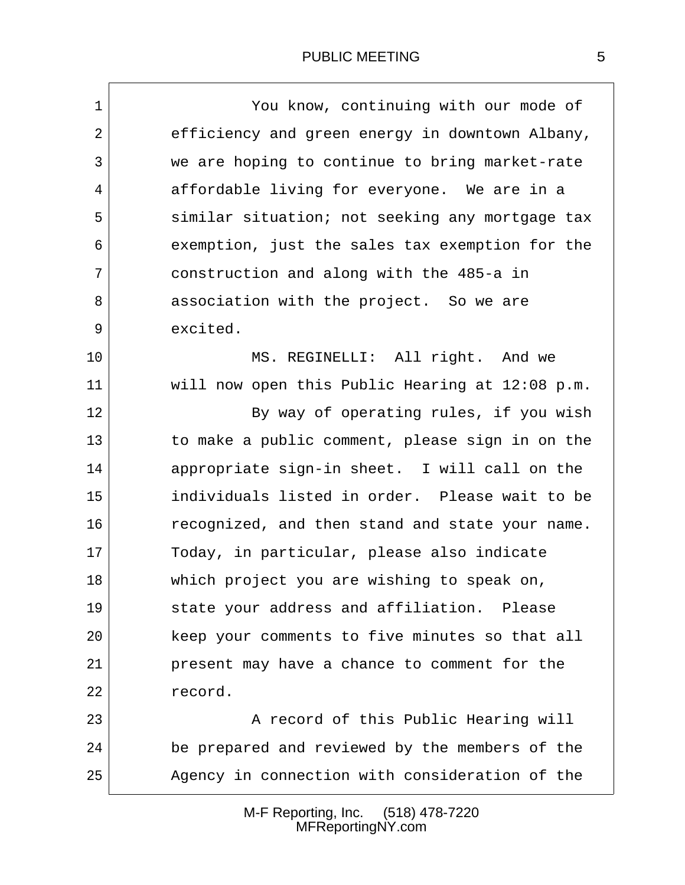| $\mathbf 1$ | You know, continuing with our mode of           |
|-------------|-------------------------------------------------|
| 2           | efficiency and green energy in downtown Albany, |
| 3           | we are hoping to continue to bring market-rate  |
|             |                                                 |
| 4           | affordable living for everyone. We are in a     |
| 5           | similar situation; not seeking any mortgage tax |
| 6           | exemption, just the sales tax exemption for the |
| 7           | construction and along with the 485-a in        |
| 8           | association with the project. So we are         |
| 9           | excited.                                        |
| 10          | MS. REGINELLI: All right. And we                |
| 11          | will now open this Public Hearing at 12:08 p.m. |
| 12          | By way of operating rules, if you wish          |
| 13          | to make a public comment, please sign in on the |
| 14          | appropriate sign-in sheet. I will call on the   |
| 15          | individuals listed in order. Please wait to be  |
| 16          | recognized, and then stand and state your name. |
| 17          | Today, in particular, please also indicate      |
| 18          | which project you are wishing to speak on,      |
| 19          | state your address and affiliation. Please      |
| 20          | keep your comments to five minutes so that all  |
| 21          | present may have a chance to comment for the    |
| 22          | record.                                         |
| 23          | A record of this Public Hearing will            |
| 24          | be prepared and reviewed by the members of the  |
| 25          | Agency in connection with consideration of the  |
|             |                                                 |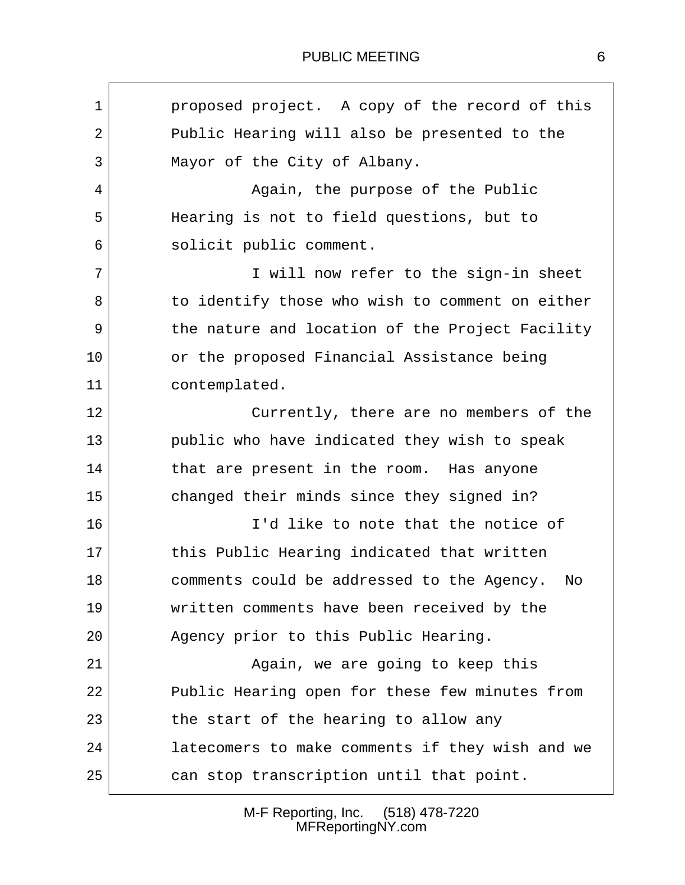| $\mathbf 1$ | proposed project. A copy of the record of this   |
|-------------|--------------------------------------------------|
| 2           | Public Hearing will also be presented to the     |
| 3           | Mayor of the City of Albany.                     |
| 4           | Again, the purpose of the Public                 |
| 5           | Hearing is not to field questions, but to        |
| 6           | solicit public comment.                          |
| 7           | I will now refer to the sign-in sheet            |
| 8           | to identify those who wish to comment on either  |
| 9           | the nature and location of the Project Facility  |
| 10          | or the proposed Financial Assistance being       |
| 11          | contemplated.                                    |
| 12          | Currently, there are no members of the           |
| 13          | public who have indicated they wish to speak     |
| 14          | that are present in the room. Has anyone         |
| 15          | changed their minds since they signed in?        |
| 16          | I'd like to note that the notice of              |
| 17          | this Public Hearing indicated that written       |
| 18          | comments could be addressed to the Agency.<br>No |
| 19          | written comments have been received by the       |
| 20          | Agency prior to this Public Hearing.             |
| 21          | Again, we are going to keep this                 |
| 22          | Public Hearing open for these few minutes from   |
| 23          | the start of the hearing to allow any            |
| 24          | latecomers to make comments if they wish and we  |
| 25          | can stop transcription until that point.         |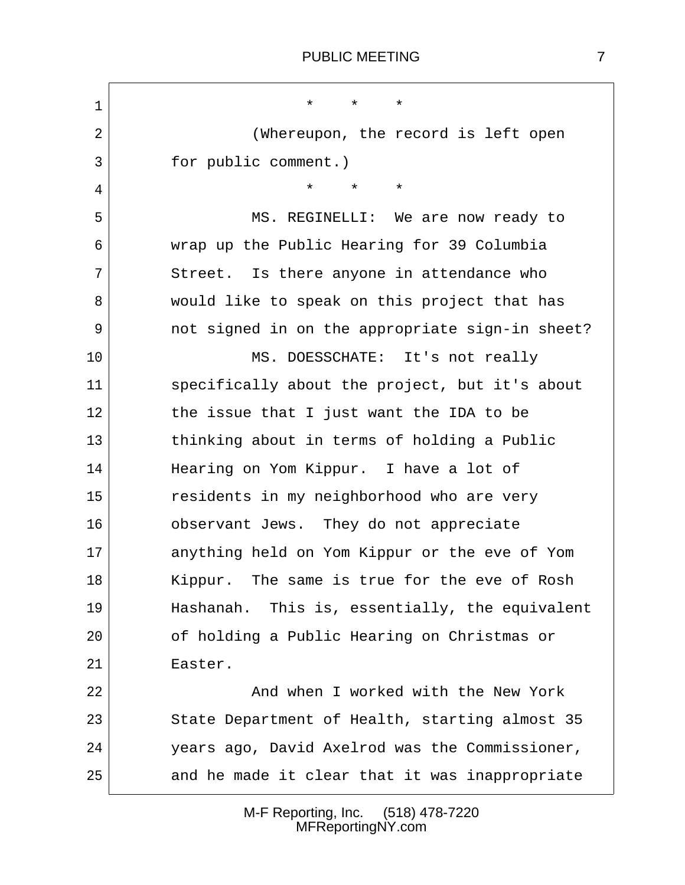$\mathbf{r}$ 

| $\mathbf 1$ | $\star$<br>$\star$<br>$\star$                   |  |
|-------------|-------------------------------------------------|--|
| 2           | (Whereupon, the record is left open             |  |
| 3           | for public comment.)                            |  |
| 4           | $\star$<br>$\star$<br>$\star$                   |  |
| 5           | MS. REGINELLI: We are now ready to              |  |
| 6           | wrap up the Public Hearing for 39 Columbia      |  |
| 7           | Street. Is there anyone in attendance who       |  |
| 8           | would like to speak on this project that has    |  |
| 9           | not signed in on the appropriate sign-in sheet? |  |
| 10          | MS. DOESSCHATE: It's not really                 |  |
| 11          | specifically about the project, but it's about  |  |
| 12          | the issue that I just want the IDA to be        |  |
| 13          | thinking about in terms of holding a Public     |  |
| 14          | Hearing on Yom Kippur. I have a lot of          |  |
| 15          | residents in my neighborhood who are very       |  |
| 16          | observant Jews. They do not appreciate          |  |
| 17          | anything held on Yom Kippur or the eve of Yom   |  |
| 18          | The same is true for the eve of Rosh<br>Kippur. |  |
| 19          | Hashanah. This is, essentially, the equivalent  |  |
| 20          | of holding a Public Hearing on Christmas or     |  |
| 21          | Easter.                                         |  |
| 22          | And when I worked with the New York             |  |
| 23          | State Department of Health, starting almost 35  |  |
| 24          | years ago, David Axelrod was the Commissioner,  |  |
| 25          | and he made it clear that it was inappropriate  |  |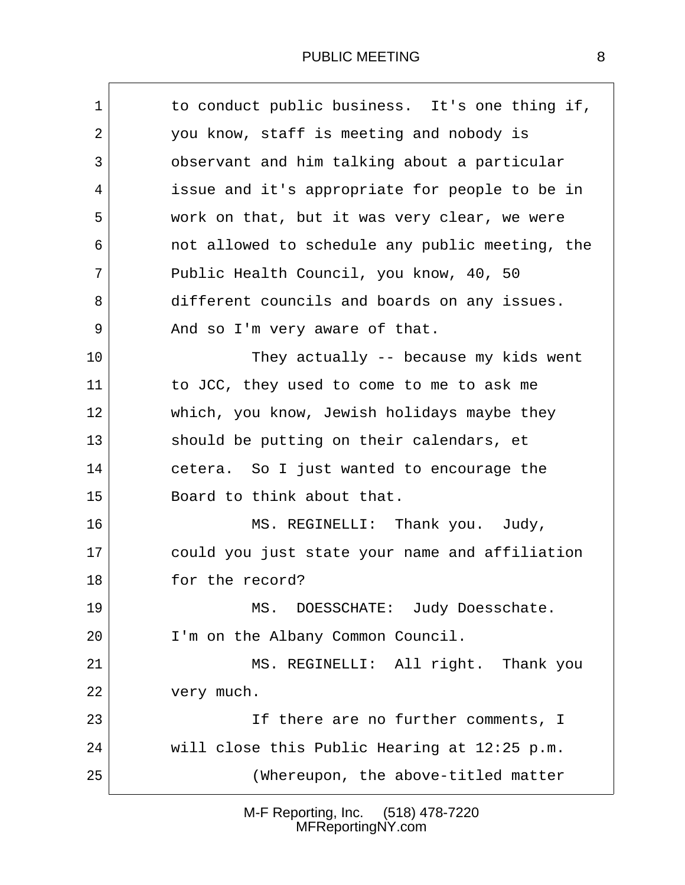### PUBLIC MEETING 8

| $\mathbf 1$ | to conduct public business. It's one thing if,  |
|-------------|-------------------------------------------------|
| 2           | you know, staff is meeting and nobody is        |
| 3           | observant and him talking about a particular    |
| 4           | issue and it's appropriate for people to be in  |
| 5           | work on that, but it was very clear, we were    |
| 6           | not allowed to schedule any public meeting, the |
| 7           | Public Health Council, you know, 40, 50         |
| 8           | different councils and boards on any issues.    |
| 9           | And so I'm very aware of that.                  |
| 10          | They actually -- because my kids went           |
| 11          | to JCC, they used to come to me to ask me       |
| 12          | which, you know, Jewish holidays maybe they     |
| 13          | should be putting on their calendars, et        |
| 14          | cetera. So I just wanted to encourage the       |
| 15          | Board to think about that.                      |
| 16          | MS. REGINELLI: Thank you. Judy,                 |
| 17          | could you just state your name and affiliation  |
| 18          | for the record?                                 |
| 19          | MS. DOESSCHATE: Judy Doesschate.                |
| 20          | I'm on the Albany Common Council.               |
| 21          | MS. REGINELLI: All right. Thank you             |
| 22          | very much.                                      |
| 23          | If there are no further comments, I             |
| 24          | will close this Public Hearing at 12:25 p.m.    |
| 25          | (Whereupon, the above-titled matter             |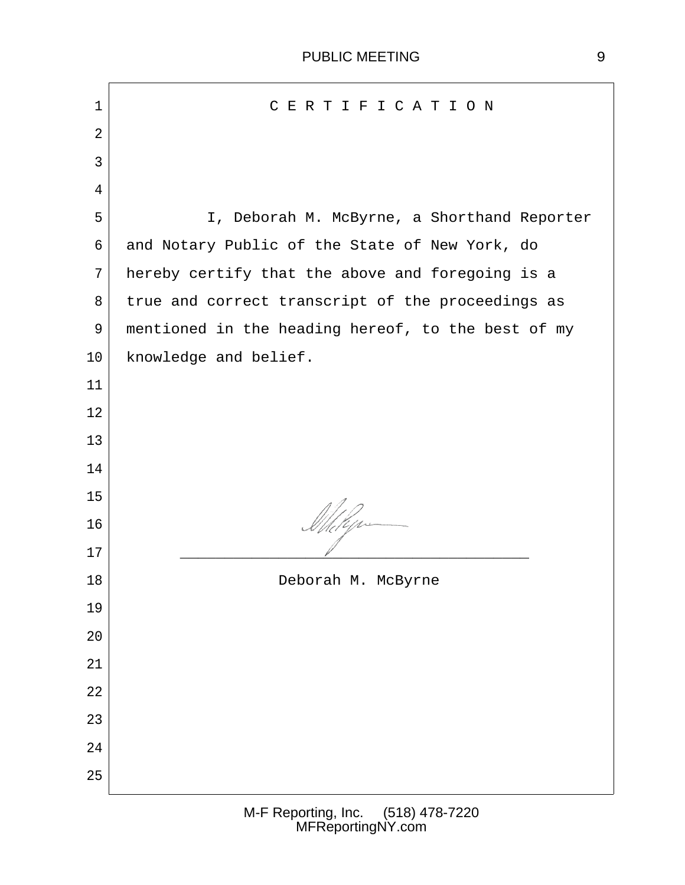| $\mathbf 1$ | CERTIFICATION                                      |  |
|-------------|----------------------------------------------------|--|
| 2           |                                                    |  |
| 3           |                                                    |  |
| 4           |                                                    |  |
| 5           | I, Deborah M. McByrne, a Shorthand Reporter        |  |
| 6           | and Notary Public of the State of New York, do     |  |
| 7           | hereby certify that the above and foregoing is a   |  |
| 8           | true and correct transcript of the proceedings as  |  |
| 9           | mentioned in the heading hereof, to the best of my |  |
| 10          | knowledge and belief.                              |  |
| 11          |                                                    |  |
| 12          |                                                    |  |
| 13          |                                                    |  |
| 14          |                                                    |  |
| 15          |                                                    |  |
| 16          | Mhelyr                                             |  |
| 17          |                                                    |  |
| 18          | Deborah M. McByrne                                 |  |
| 19          |                                                    |  |
| 20          |                                                    |  |
| 21          |                                                    |  |
| 22          |                                                    |  |
| 23          |                                                    |  |
| 24          |                                                    |  |
| 25          |                                                    |  |
|             |                                                    |  |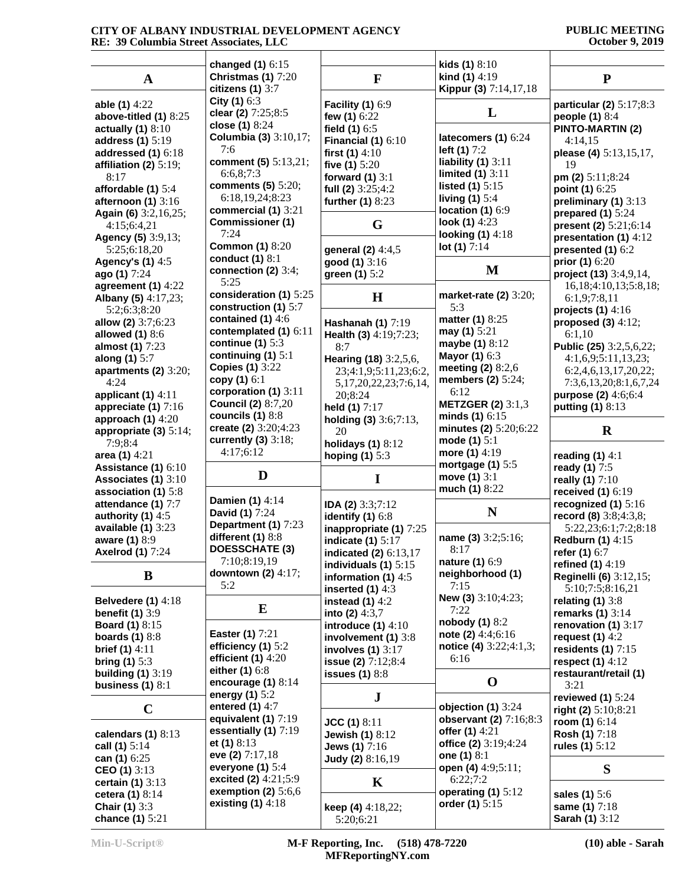#### **CITY OF ALBANY INDUSTRIAL DEVELOPMENT AGENCY RE: 39 Columbia Street Associates, LLC**

#### **PUBLIC MEETING October 9, 2019**

|                           | changed (1) 6:15          |                                          | kids $(1)$ $8:10$        |                              |
|---------------------------|---------------------------|------------------------------------------|--------------------------|------------------------------|
| A                         | Christmas (1) 7:20        | F                                        | kind (1) 4:19            | ${\bf P}$                    |
|                           | citizens $(1)$ 3:7        |                                          | Kippur (3) 7:14,17,18    |                              |
| able (1) 4:22             | City (1) 6:3              | <b>Facility (1) 6:9</b>                  |                          | particular (2) 5:17;8:3      |
| above-titled $(1)$ 8:25   | clear (2) 7:25;8:5        | few (1) 6:22                             | L                        | people (1) 8:4               |
| actually $(1)$ 8:10       | close (1) 8:24            | field $(1)$ 6:5                          |                          | <b>PINTO-MARTIN (2)</b>      |
|                           | Columbia (3) 3:10,17;     |                                          | latecomers (1) 6:24      |                              |
| address (1) 5:19          | 7:6                       | Financial $(1)$ 6:10                     | left $(1) 7:2$           | 4:14,15                      |
| addressed $(1)$ 6:18      | comment (5) 5:13,21;      | first $(1)$ 4:10                         | liability $(1)$ 3:11     | please (4) 5:13,15,17,       |
| affiliation (2) $5:19$ ;  | 6:6,8;7:3                 | five $(1)$ 5:20                          | limited $(1)$ 3:11       | 19                           |
| 8:17                      | comments (5) 5:20;        | forward $(1)$ 3:1                        |                          | pm (2) 5:11;8:24             |
| affordable $(1)$ 5:4      | 6:18,19,24;8:23           | full (2) $3:25;4:2$                      | listed $(1)$ 5:15        | point (1) 6:25               |
| afternoon (1) 3:16        |                           | further (1) 8:23                         | living $(1)$ 5:4         | preliminary (1) 3:13         |
| Again (6) 3:2,16,25;      | commercial (1) 3:21       |                                          | location $(1)$ 6:9       | prepared $(1)$ 5:24          |
| 4:15;6:4,21               | <b>Commissioner (1)</b>   | G                                        | look (1) 4:23            | present (2) 5:21;6:14        |
| Agency (5) 3:9,13;        | 7:24                      |                                          | looking $(1)$ 4:18       | presentation (1) 4:12        |
| 5:25;6:18,20              | <b>Common (1) 8:20</b>    | general (2) 4:4,5                        | lot $(1) 7:14$           | presented $(1)$ 6:2          |
| <b>Agency's (1) 4:5</b>   | conduct $(1)$ 8:1         | good (1) 3:16                            |                          | prior (1) 6:20               |
| ago (1) 7:24              | connection (2) $3:4;$     | green (1) 5:2                            | M                        | project (13) 3:4,9,14,       |
| agreement $(1)$ 4:22      | 5:25                      |                                          |                          | 16, 18; 4: 10, 13; 5: 8, 18; |
| Albany (5) 4:17,23;       | consideration (1) 5:25    | $\bf H$                                  | market-rate (2) 3:20;    | 6:1,9;7:8,11                 |
| 5:2;6:3;8:20              | construction (1) 5:7      |                                          | 5:3                      | projects $(1)$ 4:16          |
| allow (2) 3:7;6:23        | contained $(1)$ 4:6       | Hashanah (1) 7:19                        | matter (1) 8:25          | proposed $(3)$ 4:12;         |
|                           | contemplated (1) 6:11     |                                          | may (1) 5:21             |                              |
| allowed $(1)$ 8:6         | continue (1) $5:3$        | Health (3) 4:19;7:23;                    | maybe $(1)$ 8:12         | 6:1,10                       |
| almost (1) 7:23           | continuing $(1)$ 5:1      | 8:7                                      | Mayor (1) 6:3            | Public (25) 3:2,5,6,22;      |
| along (1) 5:7             | <b>Copies (1) 3:22</b>    | Hearing (18) 3:2,5,6,                    | meeting $(2)$ 8:2,6      | 4:1,6,9;5:11,13,23;          |
| apartments $(2)$ 3:20;    | copy (1) 6:1              | 23;4:1,9;5:11,23;6:2,                    |                          | 6:2,4,6,13,17,20,22;         |
| 4:24                      |                           | 5, 17, 20, 22, 23; 7: 6, 14,             | members $(2)$ 5:24;      | 7:3,6,13,20;8:1,6,7,24       |
| applicant $(1)$ 4:11      | corporation (1) 3:11      | 20;8:24                                  | 6:12                     | purpose (2) 4:6;6:4          |
| appreciate $(1)$ 7:16     | <b>Council (2) 8:7,20</b> | held (1) 7:17                            | <b>METZGER (2)</b> 3:1,3 | putting (1) 8:13             |
| approach $(1)$ 4:20       | councils $(1)$ 8:8        | holding $(3)$ 3:6;7:13,                  | minds $(1)$ 6:15         |                              |
| appropriate $(3)$ 5:14;   | create (2) 3:20;4:23      | 20                                       | minutes (2) 5:20;6:22    |                              |
|                           |                           |                                          |                          | $\bf R$                      |
|                           | currently $(3)$ 3:18;     |                                          | mode $(1)$ 5:1           |                              |
| 7:9:8:4                   | 4:17;6:12                 | holidays $(1)$ 8:12                      | more (1) 4:19            |                              |
| area $(1)$ 4:21           |                           | hoping $(1)$ 5:3                         | mortgage $(1)$ 5:5       | reading $(1)$ 4:1            |
| Assistance (1) 6:10       | D                         |                                          | move (1) 3:1             | ready (1) 7:5                |
| Associates (1) 3:10       |                           | $\mathbf I$                              | much (1) 8:22            | really (1) 7:10              |
| association (1) 5:8       |                           |                                          |                          | received $(1)$ 6:19          |
| attendance (1) 7:7        | Damien (1) 4:14           | IDA (2) 3:3;7:12                         |                          | recognized (1) $5:16$        |
| authority $(1)$ 4:5       | David (1) 7:24            | identify $(1)$ 6:8                       | N                        | record (8) $3:8;4:3,8;$      |
| available $(1)$ 3:23      | Department (1) 7:23       | inappropriate (1) 7:25                   |                          | 5:22,23;6:1;7:2;8:18         |
| aware (1) 8:9             | different (1) 8:8         | indicate $(1)$ 5:17                      | name (3) 3:2;5:16;       | <b>Redburn (1) 4:15</b>      |
| <b>Axelrod (1) 7:24</b>   | <b>DOESSCHATE (3)</b>     | indicated (2) 6:13,17                    | 8:17                     | refer (1) 6:7                |
|                           | 7:10;8:19,19              | individuals $(1)$ 5:15                   | nature (1) 6:9           | refined (1) 4:19             |
| B                         | downtown $(2)$ 4:17;      | information (1) 4:5                      | neighborhood (1)         | Reginelli (6) 3:12,15;       |
|                           | 5:2                       | inserted $(1)$ 4:3                       | 7:15                     | 5:10;7:5;8:16,21             |
| <b>Belvedere (1)</b> 4:18 |                           | instead $(1)$ 4:2                        | New (3) 3:10;4:23;       | relating $(1)$ 3:8           |
| benefit $(1)$ 3:9         | E                         |                                          | 7:22                     | remarks $(1)$ 3:14           |
|                           |                           | into (2) $4:3,7$<br>introduce $(1)$ 4:10 | nobody (1) 8:2           | renovation (1) $3:17$        |
| <b>Board (1)</b> 8:15     | Easter (1) 7:21           |                                          | note (2) $4:4;6:16$      |                              |
| boards $(1)$ 8:8          | efficiency $(1)$ 5:2      | involvement $(1)$ 3:8                    | notice (4) 3:22;4:1,3;   | request $(1)$ 4:2            |
| <b>brief (1)</b> $4:11$   | efficient $(1)$ 4:20      | involves $(1)$ 3:17                      | 6:16                     | residents $(1)$ 7:15         |
| bring $(1)$ 5:3           |                           | issue (2) 7:12;8:4                       |                          | respect $(1)$ 4:12           |
| building $(1)$ 3:19       | either (1) 6:8            | issues $(1)$ 8:8                         |                          | restaurant/retail (1)        |
| business $(1)$ 8:1        | encourage $(1)$ 8:14      |                                          | $\mathbf 0$              | 3:21                         |
|                           | energy $(1)$ 5:2          | ${\bf J}$                                |                          | reviewed $(1)$ 5:24          |
| $\mathbf C$               | entered $(1)$ 4:7         |                                          | objection $(1)$ 3:24     | right (2) 5:10;8:21          |
|                           | equivalent $(1)$ 7:19     | $JCC(1)$ 8:11                            | observant (2) 7:16;8:3   | room (1) $6:14$              |
| calendars $(1)$ 8:13      | essentially (1) 7:19      | <b>Jewish (1)</b> 8:12                   | offer (1) 4:21           | <b>Rosh (1)</b> 7:18         |
| call (1) 5:14             | et $(1)$ 8:13             | Jews (1) 7:16                            | office (2) 3:19;4:24     | rules (1) $5:12$             |
| can (1) 6:25              | eve (2) 7:17,18           | Judy (2) 8:16,19                         | one $(1)$ 8:1            |                              |
| CEO (1) $3:13$            | everyone $(1)$ 5:4        |                                          | open (4) 4:9;5:11;       | S                            |
| certain $(1)$ 3:13        | excited (2) 4:21;5:9      | $\mathbf K$                              | 6:22;7:2                 |                              |
| cetera (1) 8:14           | exemption (2) $5:6,6$     |                                          | operating (1) 5:12       | sales (1) 5:6                |
| Chair (1) 3:3             | existing $(1)$ 4:18       | keep (4) $4:18,22;$                      | order (1) 5:15           | same (1) 7:18                |